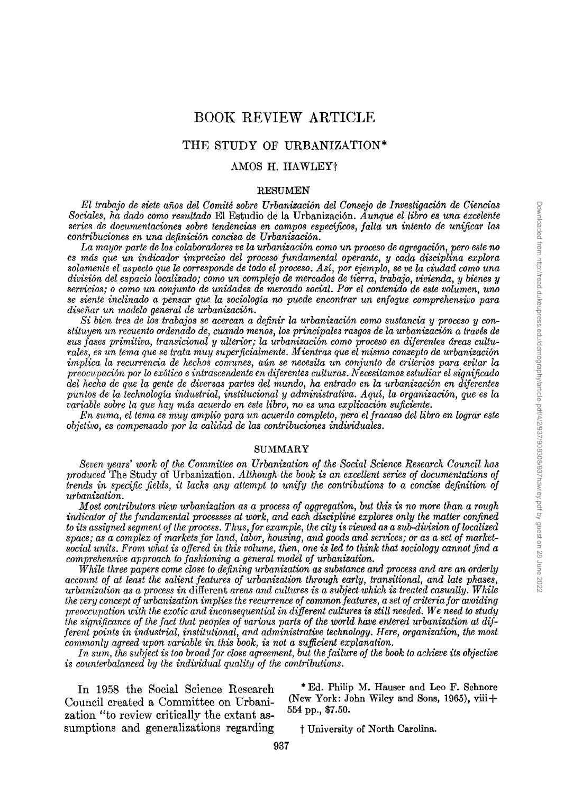## THE STUDY OF URBANIZATION\*

## AMOS H. HAWLEyt

## RESUMEN

*El trabajo de siete aiios del Comite sobre Urbanizaci6n del Consejo de Investigaci6n de Ciencias Sociales, ha dado como resultado* El Estudio de la Urbanizaci6n. *Aunque ellibro es una excelenie series de documentaciones sobre tendencias en campos eepecificos, falta un intento de unificar las contribuciones en una definici6n concise de Urbanizaci6n.*

es más que un indicador impreciso del proceso fundamental operante, y cada disciplina explora<br>solamente el aspecto que le corresponde de todo el proceso. Así, por ejemplo, se ve la ciudad como una división del espacio localizado; como un complejo de mercados de tierra, trabajo, vivienda, y bienes y<br>servicios: o como un conjunto de unidades de mercado social. Por el contenido de este volumen, uno se siente inclinado a pensar que la sociología no puede encontrar un enfoque comprehensivo para *diseiiar un modelo general de urbanizaci6n.*

*Si bien ires de lostrabajos* se *acercan a definir la urbanizaci6n como susiancia y proceso y constituyen un recuenio ordenado de, cuando menos, los principales rasgos dela urbanizaci6n a traves de sus jases primitiva, transicional y ulterior; la urbanizaci6n como proceso en diferentes areas culiurales, es un temaque*se*tratamuy superficialmente. Mientras queel mismo conzepto de urbanizaci6n implica la recurrencia de hechos comunes, aun se necesita un conjunto de criterios para evitar la preocupaci6n porloex6tico e intrascendente en diferentes culturas. Necesitamos estudiarelsignificado del hecho de que la gente de diversas partes del mundo, ha entrado en la urbanizaci6n en diferentes puntos de la technologia industrial, institucional y administrativa. Aqui, la organizaci6n, que es la variable sobre la que hay mas acuerdo en esie libro, no es una explicaci6n suficiente.*

*En suma, el tema*es*muy amplio paraun acuerdo completo, pero elfracaso dellibro en lograr este objetivo, ee compensado por la calidad de las contribuciones individuales.*

## SUMMARY

*Seven years' work of the Committee on Urbanization of the Social Science Research Council has produced* The Study of Urbanization. *Although the book is an excellent series of documentations of trends in specific fields, it lacks any attempt to unify the contributions to a concise definition of urbanization.*

*Most contributors viewurbanization as a process of aggregation, but this*is *no more than a rough indicator of thefundamental processes at work, and each discipline explores only thematterconfined toits assigned segment of theprocess. Thus, for example, thecity is viewed as a sub-division of localized*  $space$ ; as a complex of markets for land, *labor, housing*, and goods and services; or as a set of market*socialunits. Fromwhat*is *offered in this volume, then, oneis ledto think thatsociology cannot find a comprehensive approach to fashioning a general model of urbanization.*

*While three papers come close todefining urbanization assubstance and process and are an orderly account of at least the salient features of urbanization through early, transitional, and late phases, urbanizationas a process in* different *areas and cultures is a subject whichis treated casually. While theveryconcept of urbanization implies therecurrence of common features, a setof criteriafor avoiding preoccupation with theexotic and inconsequential in different cultures* is *still needed. We needtostudy the* significance of the fact that peoples of various parts of the world have entered urbanization at dif*ferent points in industrial, institutional, and administrative technology. Here, organization, the most commonly agreed upon variable in this book,* is *not a sufficient explanation.*

*In sum, thesubject* is *too broad for close agreement, but thefailure of thebook toachieve its objective* is *counterbalanced by the individual quality of the contributions.*

In 1958 the Social Science Research Council created a Committee on Urbanization "to review critically the extant assumptions and generalizations regarding

\* Ed. Philip M. Hauser and Leo F. Schnore (New York: John Wiley and Sons, 1965), viii+ 554 pp., \$7.50.

t University of North Carolina.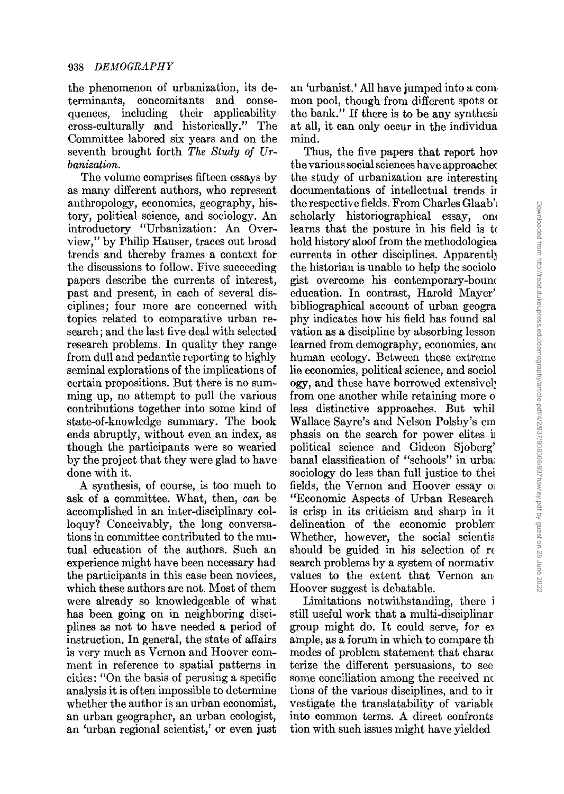the phenomenon of urbanization, its determinants, concomitants and consequences, including their applicability cross-culturally and historically." The Committee labored six years and on the seventh brought forth *The Study oj Urbanization.*

The volume comprises fifteen essays by as many different authors, who represent anthropology, economics, geography, history, political science, and sociology. An introductory "Urbanization: An Overview," by Philip Hauser, traces out broad trends and thereby frames a context for the discussions to follow. Five succeeding papers describe the currents of interest, past and present, in each of several disciplines; four more are concerned with topics related to comparative urban research; and the last five deal with selected research problems. In quality they range from dull and pedantic reporting to highly seminal explorations of the implications of certain propositions. But there is no summing up, no attempt to pull the various contributions together into some kind of state-of-knowledge summary. The book ends abruptly, without even an index, as though the participants were so wearied by the project that they were glad to have done with it.

A synthesis, of course, is too much to ask of a committee. What, then, *can* be accomplished in an inter-disciplinary colloquy? Conceivably, the long conversations in committee contributed to the mutual education of the authors. Such an experience might have been necessary had the participants in this case been novices, which these authors are not. Most of them were already so knowledgeable of what has been going on in neighboring disciplines as not to have needed a period of instruction. In general, the state of affairs is very much as Vernon and Hoover comment in reference to spatial patterns in cities: "On the basis of perusing a specific analysis it is often impossible to determine whether the author is an urban economist, an urban geographer, an urban ecologist, an 'urban regional scientist,' or even just an 'urbanist.' All have jumped into a com mon pool, though from different spots or the bank." If there is to be any synthesii at all, it can only occur in the individua mind.

Thus, the five papers that report how the varioussocial sciences have approachec the study of urbanization are interestini documentations of intellectual trends ir the respective fields. From Charles Glaab': scholarly historiographical essay, one learns that the posture in his field is te hold history aloof from the methodologica currents in other disciplines. Apparentlj the historian is unable to help the sociolo gist overcome his contemporary-boune education. In contrast, Harold Mayer' bibliographical account of urban geogra phy indicates how his field has found sal vation as a discipline by absorbing lesson learned from demography, economics, and human ecology. Between these extreme lie economics, political science, and sociol ogy, and these have borrowed extensivelj from one another while retaining more 0 less distinctive approaches. But whil Wallace Sayre's and Nelson Polsby's em phasis on the search for power elites in political science and Gideon Sjoberg' banal classification of "schools" in urbai sociology do less than full justice to their fields, the Vernon and Hoover essay <sup>01</sup> "Economic Aspects of Urban Research is crisp in its criticism and sharp in it delineation of the economic problem Whether, however, the social scientis should be guided in his selection of re search problems by a system of normativ values to the extent that Vernon an, Hoover suggest is debatable.

Limitations notwithstanding, there j still useful work that a multi-disciplinar group might do. It could serve, for ex ample, as a forum in which to compare th modes of problem statement that charac terize the different persuasions, to see some conciliation among the received ne tions of the various disciplines, and to ir vestigate the translatability of variable into common terms. A direct confronts tion with such issues might have yielded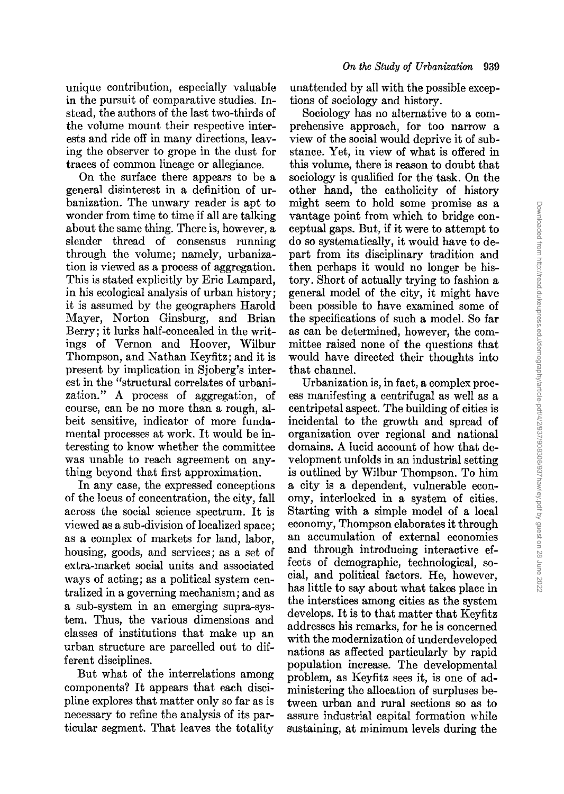unique contribution, especially valuable in the pursuit of comparative studies. Instead, the authors of the last two-thirds of the volume mount their respective interests and ride off in many directions, leaving the observer to grope in the dust for traces of common lineage or allegiance.

On the surface there appears to be a general disinterest in a definition of urbanization. The unwary reader is apt to wonder from time to time if all are talking about the same thing. There is, however, a slender thread of consensus running through the volume; namely, urbanization is viewed as a process of aggregation. This is stated explicitly by Eric Lampard, in his ecological analysis of urban history; it is assumed by the geographers Harold Mayer, Norton Ginsburg, and Brian Berry; it lurks half-concealed in the writings of Vernon and Hoover, Wilbur Thompson, and Nathan Keyfitz; and it is present by implication in Sjoberg's interest in the "structural correlates of urbanization." A process of aggregation, of course, can be no more than a rough, albeit sensitive, indicator of more fundamental processes at work. It would be interesting to know whether the committee was unable to reach agreement on anything beyond that first approximation.

In any case, the expressed conceptions of the locus of concentration, the city, fall across the social science spectrum. It is viewed as a sub-division of localized space; as a complex of markets for land, labor, housing, goods, and services; as a set of extra-market social units and associated ways of acting; as a political system centralized in a governing mechanism; and as a sub-system in an emerging supra-system. Thus, the various dimensions and classes of institutions that make up an urban structure are parcelled out to different disciplines.

But what of the interrelations among components? It appears that each discipline explores that matter only so far as is necessary to refine the analysis of its particular segment. That leaves the totality unattended by all with the possible exceptions of sociology and history.

Sociology has no alternative to a comprehensive approach, for too narrow a view of the social would deprive it of substance. Yet, in view of what is offered in this volume, there is reason to doubt that sociology is qualified for the task. On the other hand, the catholicity of history might seem to hold some promise as a vantage point from which to bridge conceptual gaps. But, if it were to attempt to do so systematically, it would have to depart from its disciplinary tradition and then perhaps it would no longer be history. Short of actually trying to fashion a general model of the city, it might have been possible to have examined some of the specifications of such a model. So far as can be determined, however, the committee raised none of the questions that would have directed their thoughts into that channel.

Urbanization is, in fact, a complex process manifesting a centrifugal as well as a centripetal aspect. The building of cities is incidental to the growth and spread of organization over regional and national domains. A lucid account of how that development unfolds in an industrial setting is outlined by Wilbur Thompson. To him a city is a dependent, vulnerable economy, interlocked in a system of cities. Starting with a simple model of a local economy, Thompson elaborates it through an accumulation of external economies and through introducing interactive effects of demographic, technological, social, and political factors. He, however, has little to say about what takes place in the interstices among cities as the system develops. It is to that matter that Keyfitz addresses his remarks, for he is concerned with the modernization of underdeveloped nations as affected particularly by rapid population increase. The developmental problem, as Keyfitz sees it, is one of administering the allocation of surpluses between urban and rural sections so as to assure industrial capital formation while sustaining, at minimum levels during the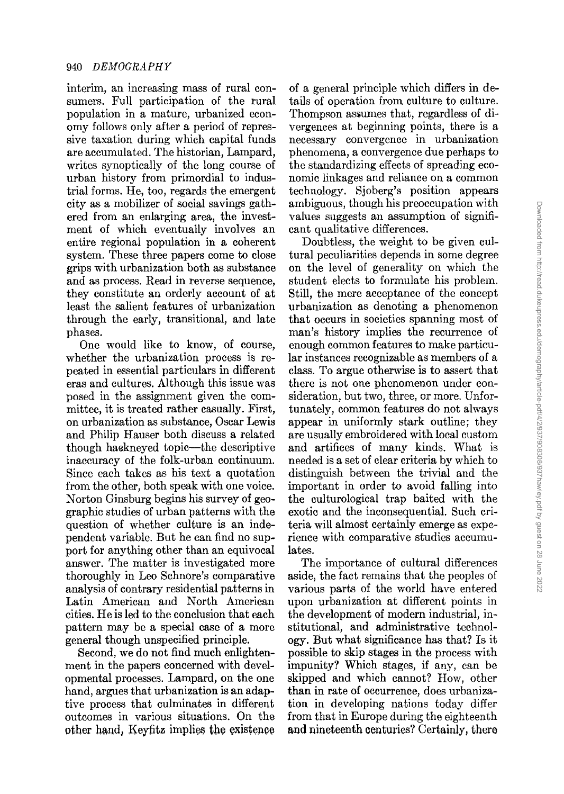interim, an increasing mass of rural consumers. Full participation of the rural population in a mature, urbanized economy follows only after a period of repressive taxation during which capital funds are accumulated. The historian, Lampard, writes synoptically of the long course of urban history from primordial to industrial forms. He, too, regards the emergent city as a mobilizer of social savings gathered from an enlarging area, the investment of which eventually involves an entire regional population in a coherent system. These three papers come to close grips with urbanization both as substance and as process. Read in reverse sequence, they constitute an orderly account of at least the salient features of urbanization through the early, transitional, and late phases.

One would like to know, of course, whether the urbanization process is repeated in essential particulars in different eras and cultures. Although this issue was posed in the assignment given the committee, it is treated rather casually. First, on urbanization as substance, Oscar Lewis and Philip Hauser both discuss a related though hackneyed topic-the descriptive inaccuracy of the folk-urban continuum. Since each takes as his text a quotation from the other, both speak with one voice. Norton Ginsburg begins his survey of geographic studies of urban patterns with the question of whether culture is an independent variable. But he can find no support for anything other than an equivocal answer. The matter is investigated more thoroughly in Leo Schnore's comparative analysis of contrary residential patterns in Latin American and North American cities. He is led to the conclusion that each pattern may be a special case of a more general though unspecified principle.

Second, we do not find much enlightenment in the papers concerned with developmental processes. Lampard, on the one hand, argues that urbanization is an adaptive process that culminates in different outcomes in various situations. On the other hand, Keyfitz implies the existence

of a general principle which differs in details of operation from culture to culture. Thompson assumes that, regardless of divergences at beginning points, there is a necessary convergence in urbanization phenomena, a convergence due perhaps to the standardizing effects of spreading economic linkages and reliance on a common technology. Sjoberg's position appears ambiguous, though his preoccupation with values suggests an assumption of significant qualitative differences.

Doubtless, the weight to be given cultural peculiarities depends in some degree on the level of generality on which the student elects to formulate his problem. Still, the mere acceptance of the concept urbanization as denoting a phenomenon that occurs in societies spanning most of man's history implies the recurrence of enough common features to make particular instances recognizable as members of a class. To argue otherwise is to assert that there is not one phenomenon under consideration, but two, three, or more. Unfortunately, common features do not always appear in uniformly stark outline; they are usually embroidered with local custom and artifices of many kinds. What is needed is a set of clear criteria by which to distinguish between the trivial and the important in order to avoid falling into the culturological trap baited with the exotic and the inconsequential. Such criteria will almost certainly emerge as experience with comparative studies accumulates.

The importance of cultural differences aside, the fact remains that the peoples of various parts of the world have entered upon urbanization at different points in the development of modern industrial, institutional, and administrative technology. But what significance has that? Is it possible to skip stages in the process with impunity? Which stages, if any, can be skipped and which cannot? How, other than in rate of occurrence, does urbanization in developing nations today differ from that in Europe during the eighteenth and nineteenth centuries? Certainly, there